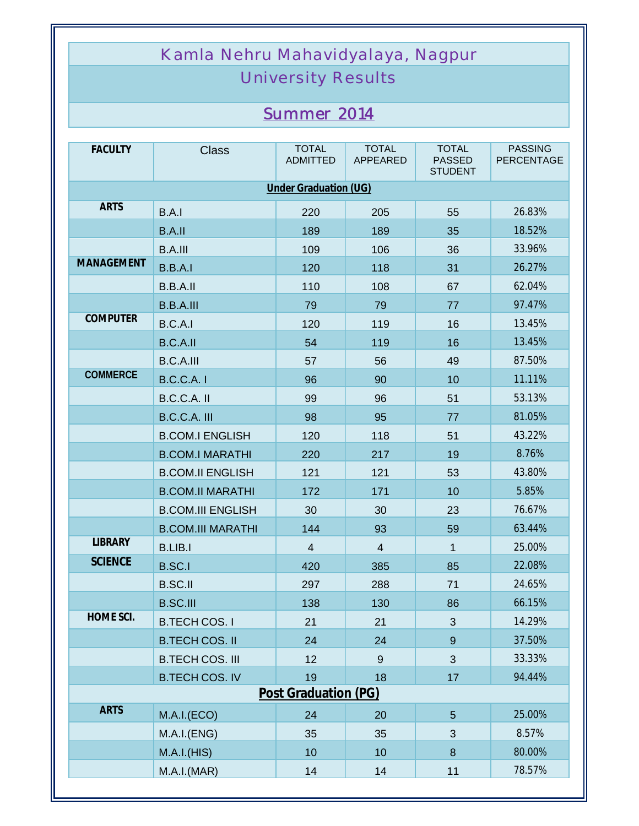## Kamla Nehru Mahavidyalaya, Nagpur

## University Results

## *Summer 2014*

| <b>FACULTY</b>        | <b>Class</b>             | <b>TOTAL</b><br><b>ADMITTED</b> | <b>TOTAL</b><br>APPEARED | <b>TOTAL</b><br><b>PASSED</b><br><b>STUDENT</b> | <b>PASSING</b><br><b>PERCENTAGE</b> |  |  |  |
|-----------------------|--------------------------|---------------------------------|--------------------------|-------------------------------------------------|-------------------------------------|--|--|--|
| Under Graduation (UG) |                          |                                 |                          |                                                 |                                     |  |  |  |
| <b>ARTS</b>           | B.A.I                    | 220                             | 205                      | 55                                              | 26.83%                              |  |  |  |
|                       | B.A.II                   | 189                             | 189                      | 35                                              | 18.52%                              |  |  |  |
|                       | <b>B.A.III</b>           | 109                             | 106                      | 36                                              | 33.96%                              |  |  |  |
| <b>MANAGEMENT</b>     | B.B.A.I                  | 120                             | 118                      | 31                                              | 26.27%                              |  |  |  |
|                       | B.B.A.II                 | 110                             | 108                      | 67                                              | 62.04%                              |  |  |  |
|                       | <b>B.B.A.III</b>         | 79                              | 79                       | 77                                              | 97.47%                              |  |  |  |
| <b>COMPUTER</b>       | B.C.A.I                  | 120                             | 119                      | 16                                              | 13.45%                              |  |  |  |
|                       | B.C.A.II                 | 54                              | 119                      | 16                                              | 13.45%                              |  |  |  |
|                       | <b>B.C.A.III</b>         | 57                              | 56                       | 49                                              | 87.50%                              |  |  |  |
| <b>COMMERCE</b>       | <b>B.C.C.A.1</b>         | 96                              | 90                       | 10                                              | 11.11%                              |  |  |  |
|                       | B.C.C.A. II              | 99                              | 96                       | 51                                              | 53.13%                              |  |  |  |
|                       | <b>B.C.C.A. III</b>      | 98                              | 95                       | 77                                              | 81.05%                              |  |  |  |
|                       | <b>B.COM.I ENGLISH</b>   | 120                             | 118                      | 51                                              | 43.22%                              |  |  |  |
|                       | <b>B.COM.I MARATHI</b>   | 220                             | 217                      | 19                                              | 8.76%                               |  |  |  |
|                       | <b>B.COM.II ENGLISH</b>  | 121                             | 121                      | 53                                              | 43.80%                              |  |  |  |
|                       | <b>B.COM.II MARATHI</b>  | 172                             | 171                      | 10                                              | 5.85%                               |  |  |  |
|                       | <b>B.COM.III ENGLISH</b> | 30                              | 30                       | 23                                              | 76.67%                              |  |  |  |
|                       | <b>B.COM.III MARATHI</b> | 144                             | 93                       | 59                                              | 63.44%                              |  |  |  |
| <b>LIBRARY</b>        | <b>B.LIB.I</b>           | $\overline{4}$                  | $\overline{4}$           | 1                                               | 25.00%                              |  |  |  |
| <b>SCIENCE</b>        | <b>B.SC.I</b>            | 420                             | 385                      | 85                                              | 22.08%                              |  |  |  |
|                       | <b>B.SC.II</b>           | 297                             | 288                      | 71                                              | 24.65%                              |  |  |  |
|                       | <b>B.SC.III</b>          | 138                             | 130                      | 86                                              | 66.15%                              |  |  |  |
| HOME SCI.             | <b>B.TECH COS.I</b>      | 21                              | 21                       | 3                                               | 14.29%                              |  |  |  |
|                       | <b>B.TECH COS. II</b>    | 24                              | 24                       | $\overline{9}$                                  | 37.50%                              |  |  |  |
|                       | <b>B.TECH COS. III</b>   | 12                              | 9                        | 3                                               | 33.33%                              |  |  |  |
|                       | <b>B.TECH COS. IV</b>    | 19                              | 18                       | 17                                              | 94.44%                              |  |  |  |
|                       | Post Graduation (PG)     |                                 |                          |                                                 |                                     |  |  |  |
| <b>ARTS</b>           | M.A.I.(ECO)              | 24                              | 20                       | 5                                               | 25.00%                              |  |  |  |
|                       | M.A.I.(ENG)              | 35                              | 35                       | 3                                               | 8.57%                               |  |  |  |
|                       | M.A.I.(HIS)              | 10                              | 10                       | 8                                               | 80.00%                              |  |  |  |
|                       | M.A.I.(MAR)              | 14                              | 14                       | 11                                              | 78.57%                              |  |  |  |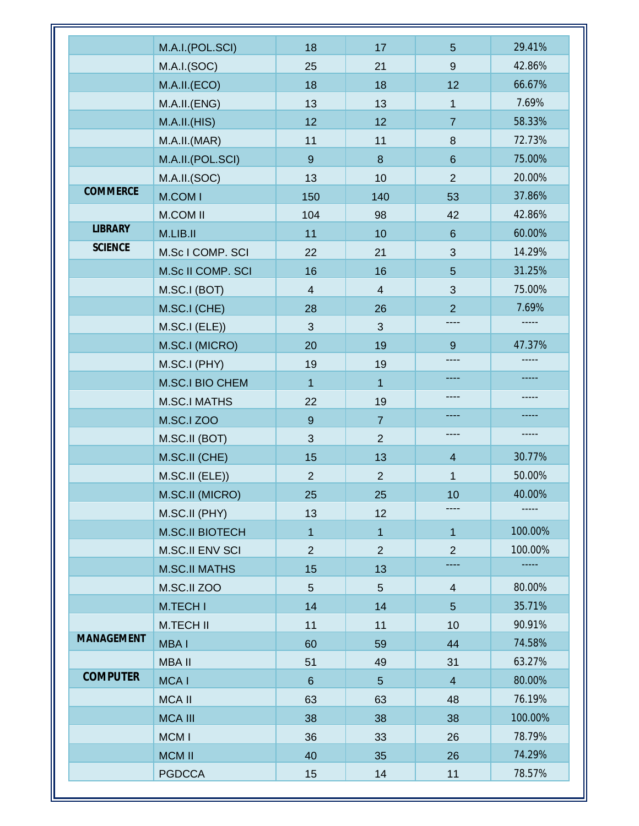|                   | M.A.I.(POL.SCI)        | 18             | 17             | $5\phantom{.0}$ | 29.41%      |
|-------------------|------------------------|----------------|----------------|-----------------|-------------|
|                   | M.A.I.(SOC)            | 25             | 21             | 9               | 42.86%      |
|                   | M.A.II.(ECO)           | 18             | 18             | 12              | 66.67%      |
|                   | M.A.II.(ENG)           | 13             | 13             | $\mathbf 1$     | 7.69%       |
|                   | M.A.I.I.(HIS)          | 12             | 12             | $\overline{7}$  | 58.33%      |
|                   | M.A.II.(MAR)           | 11             | 11             | $\,8\,$         | 72.73%      |
|                   | M.A.II.(POL.SCI)       | 9              | 8              | $6\phantom{1}$  | 75.00%      |
|                   | M.A.II.(SOC)           | 13             | 10             | $\overline{2}$  | 20.00%      |
| <b>COMMERCE</b>   | M.COM I                | 150            | 140            | 53              | 37.86%      |
|                   | <b>M.COM II</b>        | 104            | 98             | 42              | 42.86%      |
| <b>LIBRARY</b>    | M.LIB.II               | 11             | 10             | $6\phantom{1}$  | 60.00%      |
| <b>SCIENCE</b>    | M.Sc I COMP. SCI       | 22             | 21             | 3               | 14.29%      |
|                   | M.Sc II COMP. SCI      | 16             | 16             | 5               | 31.25%      |
|                   | M.SC.I (BOT)           | $\overline{4}$ | $\overline{4}$ | 3               | 75.00%      |
|                   | M.SC.I (CHE)           | 28             | 26             | $\overline{2}$  | 7.69%       |
|                   | M.SC.I (ELE))          | $\mathfrak{S}$ | $\mathfrak{S}$ | ----            | $- - - - -$ |
|                   | M.SC.I (MICRO)         | 20             | 19             | 9               | 47.37%      |
|                   | M.SC.I (PHY)           | 19             | 19             | ----            |             |
|                   | M.SC.I BIO CHEM        | $\mathbf{1}$   | $\mathbf{1}$   | ----            |             |
|                   | <b>M.SC.I MATHS</b>    | 22             | 19             | ----            |             |
|                   | <b>M.SC.I ZOO</b>      | $\overline{9}$ | $\overline{7}$ |                 |             |
|                   | M.SC.II (BOT)          | 3              | $\overline{2}$ | ----            |             |
|                   | M.SC.II (CHE)          | 15             | 13             | $\overline{4}$  | 30.77%      |
|                   | M.SC.II (ELE))         | $\overline{2}$ | $\overline{2}$ | $\mathbf{1}$    | 50.00%      |
|                   | M.SC.II (MICRO)        | 25             | 25             | 10              | 40.00%      |
|                   | M.SC.II (PHY)          | 13             | 12             | ----            |             |
|                   | <b>M.SC.II BIOTECH</b> | $\overline{1}$ | $\overline{1}$ | $\mathbf{1}$    | 100.00%     |
|                   | M.SC.II ENV SCI        | $\overline{2}$ | $\overline{2}$ | $\overline{2}$  | 100.00%     |
|                   | <b>M.SC.II MATHS</b>   | 15             | 13             |                 |             |
|                   | M.SC.II ZOO            | 5              | $\overline{5}$ | $\overline{4}$  | 80.00%      |
|                   | M.TECH I               | 14             | 14             | 5               | 35.71%      |
|                   | <b>M.TECH II</b>       | 11             | 11             | 10              | 90.91%      |
| <b>MANAGEMENT</b> | MBA I                  | 60             |                | 44              | 74.58%      |
|                   | <b>MBA II</b>          | 51             | 59<br>49       | 31              | 63.27%      |
| <b>COMPUTER</b>   |                        |                |                |                 | 80.00%      |
|                   | <b>MCAI</b>            | $6\phantom{1}$ | 5 <sup>5</sup> | $\overline{4}$  | 76.19%      |
|                   | <b>MCA II</b>          | 63             | 63             | 48              |             |
|                   | <b>MCA III</b>         | 38             | 38             | 38              | 100.00%     |
|                   | MCM I                  | 36             | 33             | 26              | 78.79%      |
|                   | <b>MCM II</b>          | 40             | 35             | 26              | 74.29%      |
|                   | <b>PGDCCA</b>          | 15             | 14             | 11              | 78.57%      |